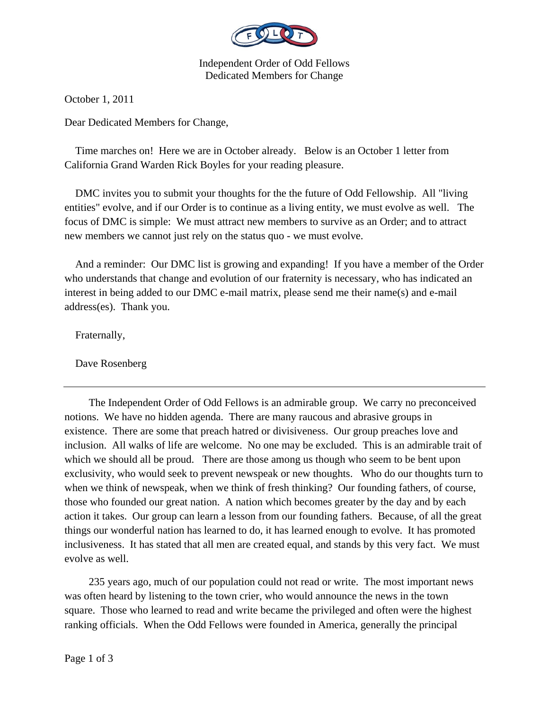

Independent Order of Odd Fellows Dedicated Members for Change

October 1, 2011

Dear Dedicated Members for Change,

 Time marches on! Here we are in October already. Below is an October 1 letter from California Grand Warden Rick Boyles for your reading pleasure.

 DMC invites you to submit your thoughts for the the future of Odd Fellowship. All "living entities" evolve, and if our Order is to continue as a living entity, we must evolve as well. The focus of DMC is simple: We must attract new members to survive as an Order; and to attract new members we cannot just rely on the status quo - we must evolve.

 And a reminder: Our DMC list is growing and expanding! If you have a member of the Order who understands that change and evolution of our fraternity is necessary, who has indicated an interest in being added to our DMC e-mail matrix, please send me their name(s) and e-mail address(es). Thank you.

Fraternally,

Dave Rosenberg

 The Independent Order of Odd Fellows is an admirable group. We carry no preconceived notions. We have no hidden agenda. There are many raucous and abrasive groups in existence. There are some that preach hatred or divisiveness. Our group preaches love and inclusion. All walks of life are welcome. No one may be excluded. This is an admirable trait of which we should all be proud. There are those among us though who seem to be bent upon exclusivity, who would seek to prevent newspeak or new thoughts. Who do our thoughts turn to when we think of newspeak, when we think of fresh thinking? Our founding fathers, of course, those who founded our great nation. A nation which becomes greater by the day and by each action it takes. Our group can learn a lesson from our founding fathers. Because, of all the great things our wonderful nation has learned to do, it has learned enough to evolve. It has promoted inclusiveness. It has stated that all men are created equal, and stands by this very fact. We must evolve as well.

 235 years ago, much of our population could not read or write. The most important news was often heard by listening to the town crier, who would announce the news in the town square. Those who learned to read and write became the privileged and often were the highest ranking officials. When the Odd Fellows were founded in America, generally the principal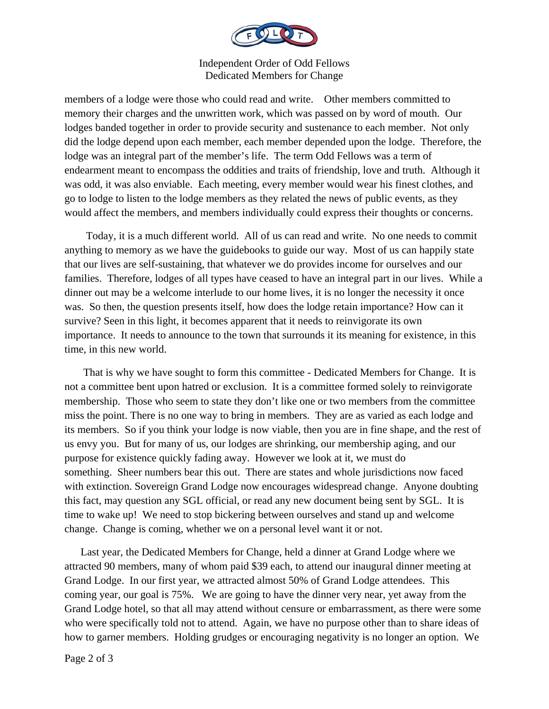

Independent Order of Odd Fellows Dedicated Members for Change

members of a lodge were those who could read and write. Other members committed to memory their charges and the unwritten work, which was passed on by word of mouth. Our lodges banded together in order to provide security and sustenance to each member. Not only did the lodge depend upon each member, each member depended upon the lodge. Therefore, the lodge was an integral part of the member's life. The term Odd Fellows was a term of endearment meant to encompass the oddities and traits of friendship, love and truth. Although it was odd, it was also enviable. Each meeting, every member would wear his finest clothes, and go to lodge to listen to the lodge members as they related the news of public events, as they would affect the members, and members individually could express their thoughts or concerns.

 Today, it is a much different world. All of us can read and write. No one needs to commit anything to memory as we have the guidebooks to guide our way. Most of us can happily state that our lives are self-sustaining, that whatever we do provides income for ourselves and our families. Therefore, lodges of all types have ceased to have an integral part in our lives. While a dinner out may be a welcome interlude to our home lives, it is no longer the necessity it once was. So then, the question presents itself, how does the lodge retain importance? How can it survive? Seen in this light, it becomes apparent that it needs to reinvigorate its own importance. It needs to announce to the town that surrounds it its meaning for existence, in this time, in this new world.

 That is why we have sought to form this committee - Dedicated Members for Change. It is not a committee bent upon hatred or exclusion. It is a committee formed solely to reinvigorate membership. Those who seem to state they don't like one or two members from the committee miss the point. There is no one way to bring in members. They are as varied as each lodge and its members. So if you think your lodge is now viable, then you are in fine shape, and the rest of us envy you. But for many of us, our lodges are shrinking, our membership aging, and our purpose for existence quickly fading away. However we look at it, we must do something. Sheer numbers bear this out. There are states and whole jurisdictions now faced with extinction. Sovereign Grand Lodge now encourages widespread change. Anyone doubting this fact, may question any SGL official, or read any new document being sent by SGL. It is time to wake up! We need to stop bickering between ourselves and stand up and welcome change. Change is coming, whether we on a personal level want it or not.

 Last year, the Dedicated Members for Change, held a dinner at Grand Lodge where we attracted 90 members, many of whom paid \$39 each, to attend our inaugural dinner meeting at Grand Lodge. In our first year, we attracted almost 50% of Grand Lodge attendees. This coming year, our goal is 75%. We are going to have the dinner very near, yet away from the Grand Lodge hotel, so that all may attend without censure or embarrassment, as there were some who were specifically told not to attend. Again, we have no purpose other than to share ideas of how to garner members. Holding grudges or encouraging negativity is no longer an option. We